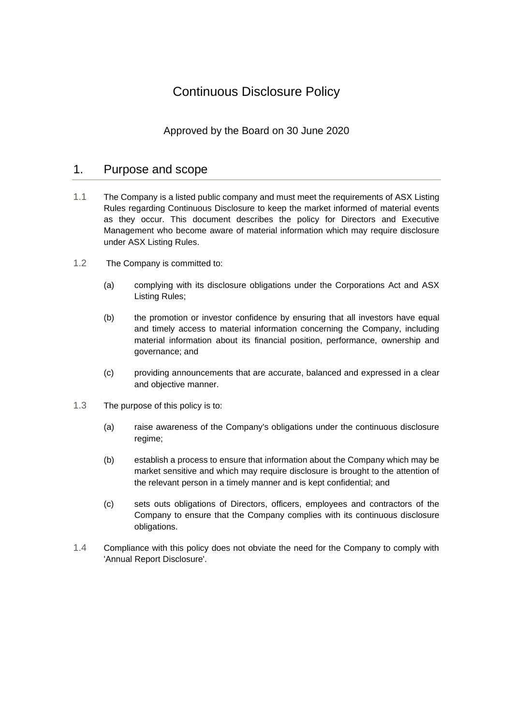# Continuous Disclosure Policy

# Approved by the Board on 30 June 2020

# 1. Purpose and scope

- 1.1 The Company is a listed public company and must meet the requirements of ASX Listing Rules regarding Continuous Disclosure to keep the market informed of material events as they occur. This document describes the policy for Directors and Executive Management who become aware of material information which may require disclosure under ASX Listing Rules.
- 1.2 The Company is committed to:
	- (a) complying with its disclosure obligations under the Corporations Act and ASX Listing Rules;
	- (b) the promotion or investor confidence by ensuring that all investors have equal and timely access to material information concerning the Company, including material information about its financial position, performance, ownership and governance; and
	- (c) providing announcements that are accurate, balanced and expressed in a clear and objective manner.
- 1.3 The purpose of this policy is to:
	- (a) raise awareness of the Company's obligations under the continuous disclosure regime;
	- (b) establish a process to ensure that information about the Company which may be market sensitive and which may require disclosure is brought to the attention of the relevant person in a timely manner and is kept confidential; and
	- (c) sets outs obligations of Directors, officers, employees and contractors of the Company to ensure that the Company complies with its continuous disclosure obligations.
- 1.4 Compliance with this policy does not obviate the need for the Company to comply with 'Annual Report Disclosure'.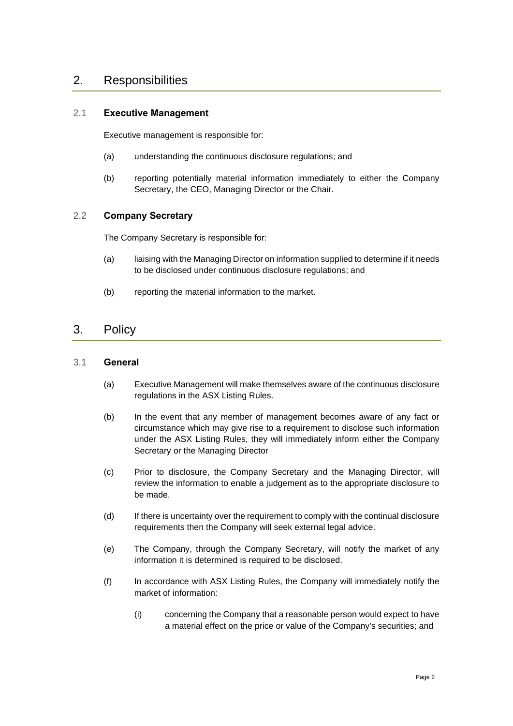# 2. Responsibilities

### 2.1 **Executive Management**

Executive management is responsible for:

- (a) understanding the continuous disclosure regulations; and
- (b) reporting potentially material information immediately to either the Company Secretary, the CEO, Managing Director or the Chair.

#### 2.2 **Company Secretary**

The Company Secretary is responsible for:

- (a) liaising with the Managing Director on information supplied to determine if it needs to be disclosed under continuous disclosure regulations; and
- (b) reporting the material information to the market.

## 3. Policy

#### 3.1 **General**

- (a) Executive Management will make themselves aware of the continuous disclosure regulations in the ASX Listing Rules.
- (b) In the event that any member of management becomes aware of any fact or circumstance which may give rise to a requirement to disclose such information under the ASX Listing Rules, they will immediately inform either the Company Secretary or the Managing Director
- (c) Prior to disclosure, the Company Secretary and the Managing Director, will review the information to enable a judgement as to the appropriate disclosure to be made.
- (d) If there is uncertainty over the requirement to comply with the continual disclosure requirements then the Company will seek external legal advice.
- (e) The Company, through the Company Secretary, will notify the market of any information it is determined is required to be disclosed.
- (f) In accordance with ASX Listing Rules, the Company will immediately notify the market of information:
	- (i) concerning the Company that a reasonable person would expect to have a material effect on the price or value of the Company's securities; and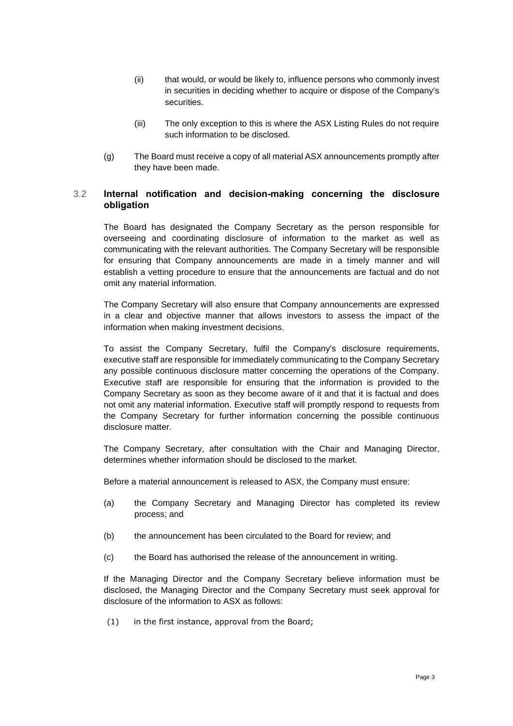- (ii) that would, or would be likely to, influence persons who commonly invest in securities in deciding whether to acquire or dispose of the Company's securities.
- (iii) The only exception to this is where the ASX Listing Rules do not require such information to be disclosed.
- (g) The Board must receive a copy of all material ASX announcements promptly after they have been made.

### 3.2 **Internal notification and decision-making concerning the disclosure obligation**

The Board has designated the Company Secretary as the person responsible for overseeing and coordinating disclosure of information to the market as well as communicating with the relevant authorities. The Company Secretary will be responsible for ensuring that Company announcements are made in a timely manner and will establish a vetting procedure to ensure that the announcements are factual and do not omit any material information.

The Company Secretary will also ensure that Company announcements are expressed in a clear and objective manner that allows investors to assess the impact of the information when making investment decisions.

To assist the Company Secretary, fulfil the Company's disclosure requirements, executive staff are responsible for immediately communicating to the Company Secretary any possible continuous disclosure matter concerning the operations of the Company. Executive staff are responsible for ensuring that the information is provided to the Company Secretary as soon as they become aware of it and that it is factual and does not omit any material information. Executive staff will promptly respond to requests from the Company Secretary for further information concerning the possible continuous disclosure matter.

The Company Secretary, after consultation with the Chair and Managing Director, determines whether information should be disclosed to the market.

Before a material announcement is released to ASX, the Company must ensure:

- (a) the Company Secretary and Managing Director has completed its review process; and
- (b) the announcement has been circulated to the Board for review; and
- (c) the Board has authorised the release of the announcement in writing.

If the Managing Director and the Company Secretary believe information must be disclosed, the Managing Director and the Company Secretary must seek approval for disclosure of the information to ASX as follows:

(1) in the first instance, approval from the Board;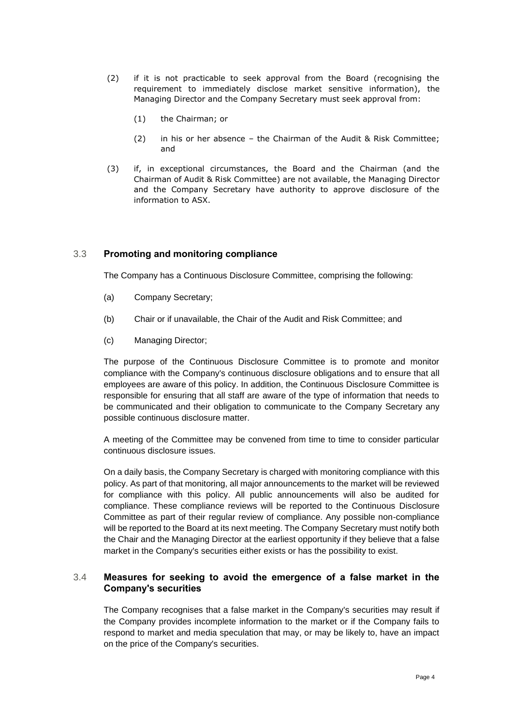- (2) if it is not practicable to seek approval from the Board (recognising the requirement to immediately disclose market sensitive information), the Managing Director and the Company Secretary must seek approval from:
	- (1) the Chairman; or
	- (2) in his or her absence the Chairman of the Audit & Risk Committee; and
- (3) if, in exceptional circumstances, the Board and the Chairman (and the Chairman of Audit & Risk Committee) are not available, the Managing Director and the Company Secretary have authority to approve disclosure of the information to ASX.

#### 3.3 **Promoting and monitoring compliance**

The Company has a Continuous Disclosure Committee, comprising the following:

- (a) Company Secretary;
- (b) Chair or if unavailable, the Chair of the Audit and Risk Committee; and
- (c) Managing Director;

The purpose of the Continuous Disclosure Committee is to promote and monitor compliance with the Company's continuous disclosure obligations and to ensure that all employees are aware of this policy. In addition, the Continuous Disclosure Committee is responsible for ensuring that all staff are aware of the type of information that needs to be communicated and their obligation to communicate to the Company Secretary any possible continuous disclosure matter.

A meeting of the Committee may be convened from time to time to consider particular continuous disclosure issues.

On a daily basis, the Company Secretary is charged with monitoring compliance with this policy. As part of that monitoring, all major announcements to the market will be reviewed for compliance with this policy. All public announcements will also be audited for compliance. These compliance reviews will be reported to the Continuous Disclosure Committee as part of their regular review of compliance. Any possible non-compliance will be reported to the Board at its next meeting. The Company Secretary must notify both the Chair and the Managing Director at the earliest opportunity if they believe that a false market in the Company's securities either exists or has the possibility to exist.

#### 3.4 **Measures for seeking to avoid the emergence of a false market in the Company's securities**

The Company recognises that a false market in the Company's securities may result if the Company provides incomplete information to the market or if the Company fails to respond to market and media speculation that may, or may be likely to, have an impact on the price of the Company's securities.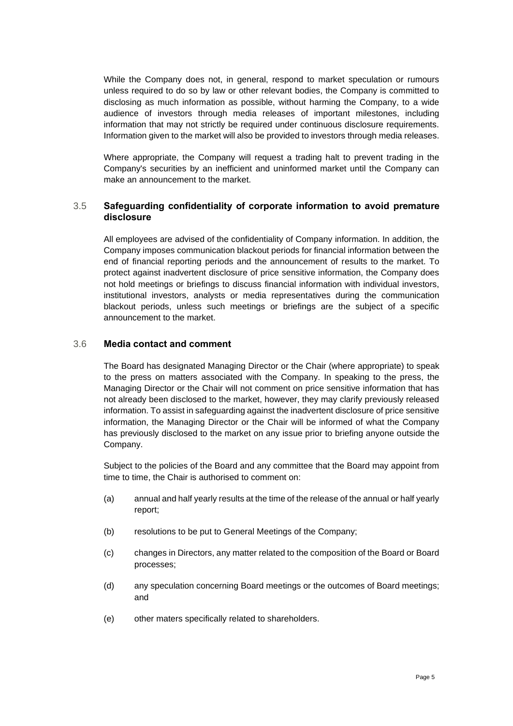While the Company does not, in general, respond to market speculation or rumours unless required to do so by law or other relevant bodies, the Company is committed to disclosing as much information as possible, without harming the Company, to a wide audience of investors through media releases of important milestones, including information that may not strictly be required under continuous disclosure requirements. Information given to the market will also be provided to investors through media releases.

Where appropriate, the Company will request a trading halt to prevent trading in the Company's securities by an inefficient and uninformed market until the Company can make an announcement to the market.

### 3.5 **Safeguarding confidentiality of corporate information to avoid premature disclosure**

All employees are advised of the confidentiality of Company information. In addition, the Company imposes communication blackout periods for financial information between the end of financial reporting periods and the announcement of results to the market. To protect against inadvertent disclosure of price sensitive information, the Company does not hold meetings or briefings to discuss financial information with individual investors, institutional investors, analysts or media representatives during the communication blackout periods, unless such meetings or briefings are the subject of a specific announcement to the market.

#### 3.6 **Media contact and comment**

The Board has designated Managing Director or the Chair (where appropriate) to speak to the press on matters associated with the Company. In speaking to the press, the Managing Director or the Chair will not comment on price sensitive information that has not already been disclosed to the market, however, they may clarify previously released information. To assist in safeguarding against the inadvertent disclosure of price sensitive information, the Managing Director or the Chair will be informed of what the Company has previously disclosed to the market on any issue prior to briefing anyone outside the Company.

Subject to the policies of the Board and any committee that the Board may appoint from time to time, the Chair is authorised to comment on:

- (a) annual and half yearly results at the time of the release of the annual or half yearly report;
- (b) resolutions to be put to General Meetings of the Company;
- (c) changes in Directors, any matter related to the composition of the Board or Board processes;
- (d) any speculation concerning Board meetings or the outcomes of Board meetings; and
- (e) other maters specifically related to shareholders.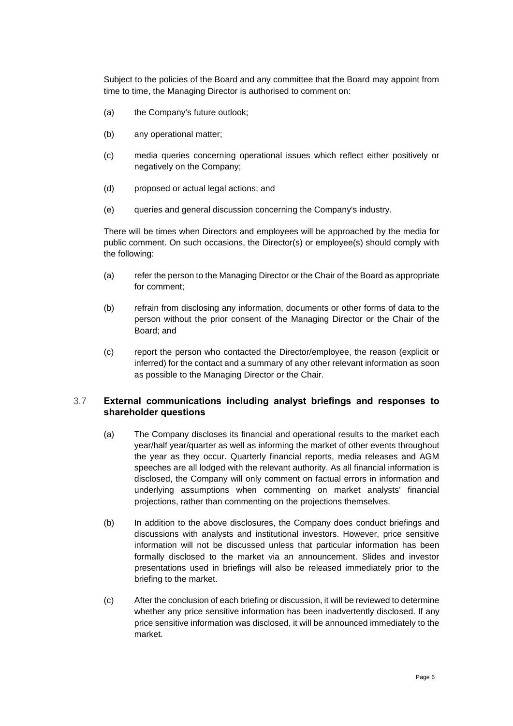Subject to the policies of the Board and any committee that the Board may appoint from time to time, the Managing Director is authorised to comment on:

- (a) the Company's future outlook;
- (b) any operational matter;
- (c) media queries concerning operational issues which reflect either positively or negatively on the Company;
- (d) proposed or actual legal actions; and
- (e) queries and general discussion concerning the Company's industry.

There will be times when Directors and employees will be approached by the media for public comment. On such occasions, the Director(s) or employee(s) should comply with the following:

- (a) refer the person to the Managing Director or the Chair of the Board as appropriate for comment;
- (b) refrain from disclosing any information, documents or other forms of data to the person without the prior consent of the Managing Director or the Chair of the Board; and
- (c) report the person who contacted the Director/employee, the reason (explicit or inferred) for the contact and a summary of any other relevant information as soon as possible to the Managing Director or the Chair.

#### 3.7 **External communications including analyst briefings and responses to shareholder questions**

- (a) The Company discloses its financial and operational results to the market each year/half year/quarter as well as informing the market of other events throughout the year as they occur. Quarterly financial reports, media releases and AGM speeches are all lodged with the relevant authority. As all financial information is disclosed, the Company will only comment on factual errors in information and underlying assumptions when commenting on market analysts' financial projections, rather than commenting on the projections themselves.
- (b) In addition to the above disclosures, the Company does conduct briefings and discussions with analysts and institutional investors. However, price sensitive information will not be discussed unless that particular information has been formally disclosed to the market via an announcement. Slides and investor presentations used in briefings will also be released immediately prior to the briefing to the market.
- (c) After the conclusion of each briefing or discussion, it will be reviewed to determine whether any price sensitive information has been inadvertently disclosed. If any price sensitive information was disclosed, it will be announced immediately to the market.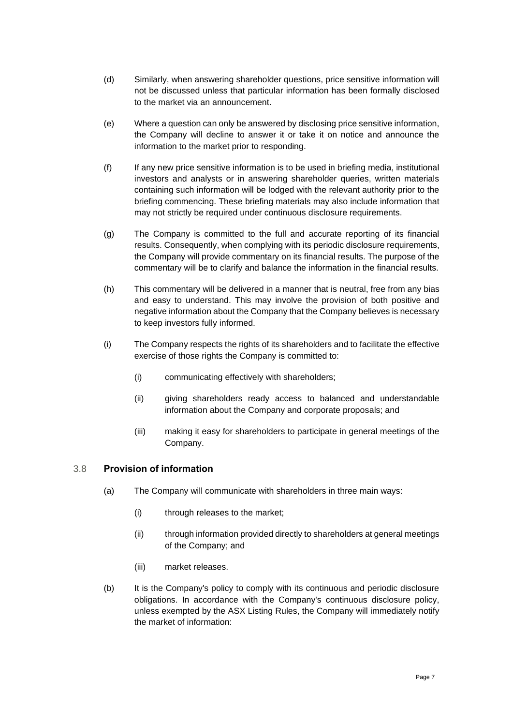- (d) Similarly, when answering shareholder questions, price sensitive information will not be discussed unless that particular information has been formally disclosed to the market via an announcement.
- (e) Where a question can only be answered by disclosing price sensitive information, the Company will decline to answer it or take it on notice and announce the information to the market prior to responding.
- (f) If any new price sensitive information is to be used in briefing media, institutional investors and analysts or in answering shareholder queries, written materials containing such information will be lodged with the relevant authority prior to the briefing commencing. These briefing materials may also include information that may not strictly be required under continuous disclosure requirements.
- (g) The Company is committed to the full and accurate reporting of its financial results. Consequently, when complying with its periodic disclosure requirements, the Company will provide commentary on its financial results. The purpose of the commentary will be to clarify and balance the information in the financial results.
- (h) This commentary will be delivered in a manner that is neutral, free from any bias and easy to understand. This may involve the provision of both positive and negative information about the Company that the Company believes is necessary to keep investors fully informed.
- (i) The Company respects the rights of its shareholders and to facilitate the effective exercise of those rights the Company is committed to:
	- (i) communicating effectively with shareholders;
	- (ii) giving shareholders ready access to balanced and understandable information about the Company and corporate proposals; and
	- (iii) making it easy for shareholders to participate in general meetings of the Company.

### 3.8 **Provision of information**

- (a) The Company will communicate with shareholders in three main ways:
	- (i) through releases to the market;
	- (ii) through information provided directly to shareholders at general meetings of the Company; and
	- (iii) market releases.
- (b) It is the Company's policy to comply with its continuous and periodic disclosure obligations. In accordance with the Company's continuous disclosure policy, unless exempted by the ASX Listing Rules, the Company will immediately notify the market of information: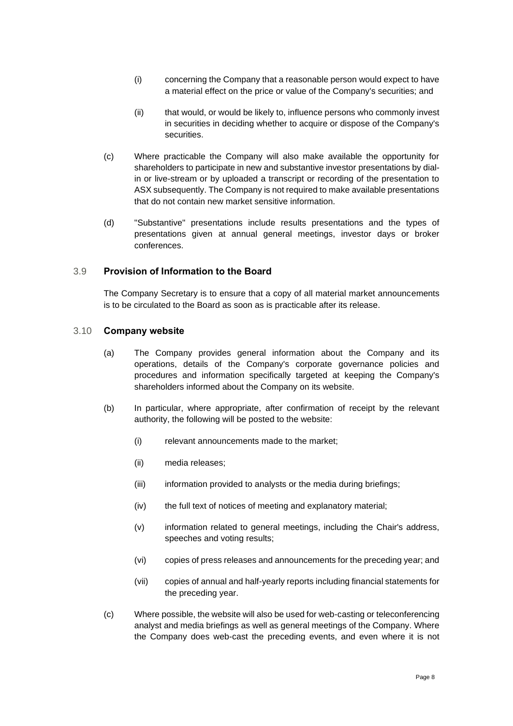- (i) concerning the Company that a reasonable person would expect to have a material effect on the price or value of the Company's securities; and
- (ii) that would, or would be likely to, influence persons who commonly invest in securities in deciding whether to acquire or dispose of the Company's securities.
- (c) Where practicable the Company will also make available the opportunity for shareholders to participate in new and substantive investor presentations by dialin or live-stream or by uploaded a transcript or recording of the presentation to ASX subsequently. The Company is not required to make available presentations that do not contain new market sensitive information.
- (d) "Substantive" presentations include results presentations and the types of presentations given at annual general meetings, investor days or broker conferences.

#### 3.9 **Provision of Information to the Board**

The Company Secretary is to ensure that a copy of all material market announcements is to be circulated to the Board as soon as is practicable after its release.

#### 3.10 **Company website**

- (a) The Company provides general information about the Company and its operations, details of the Company's corporate governance policies and procedures and information specifically targeted at keeping the Company's shareholders informed about the Company on its website.
- (b) In particular, where appropriate, after confirmation of receipt by the relevant authority, the following will be posted to the website:
	- (i) relevant announcements made to the market;
	- (ii) media releases;
	- (iii) information provided to analysts or the media during briefings;
	- (iv) the full text of notices of meeting and explanatory material;
	- (v) information related to general meetings, including the Chair's address, speeches and voting results;
	- (vi) copies of press releases and announcements for the preceding year; and
	- (vii) copies of annual and half-yearly reports including financial statements for the preceding year.
- (c) Where possible, the website will also be used for web-casting or teleconferencing analyst and media briefings as well as general meetings of the Company. Where the Company does web-cast the preceding events, and even where it is not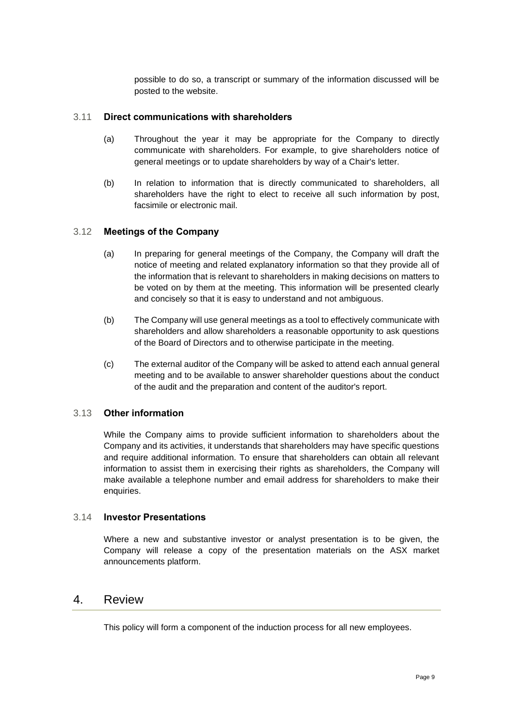possible to do so, a transcript or summary of the information discussed will be posted to the website.

#### 3.11 **Direct communications with shareholders**

- (a) Throughout the year it may be appropriate for the Company to directly communicate with shareholders. For example, to give shareholders notice of general meetings or to update shareholders by way of a Chair's letter.
- (b) In relation to information that is directly communicated to shareholders, all shareholders have the right to elect to receive all such information by post, facsimile or electronic mail.

#### 3.12 **Meetings of the Company**

- (a) In preparing for general meetings of the Company, the Company will draft the notice of meeting and related explanatory information so that they provide all of the information that is relevant to shareholders in making decisions on matters to be voted on by them at the meeting. This information will be presented clearly and concisely so that it is easy to understand and not ambiguous.
- (b) The Company will use general meetings as a tool to effectively communicate with shareholders and allow shareholders a reasonable opportunity to ask questions of the Board of Directors and to otherwise participate in the meeting.
- (c) The external auditor of the Company will be asked to attend each annual general meeting and to be available to answer shareholder questions about the conduct of the audit and the preparation and content of the auditor's report.

#### 3.13 **Other information**

While the Company aims to provide sufficient information to shareholders about the Company and its activities, it understands that shareholders may have specific questions and require additional information. To ensure that shareholders can obtain all relevant information to assist them in exercising their rights as shareholders, the Company will make available a telephone number and email address for shareholders to make their enquiries.

#### 3.14 **Investor Presentations**

Where a new and substantive investor or analyst presentation is to be given, the Company will release a copy of the presentation materials on the ASX market announcements platform.

# 4. Review

This policy will form a component of the induction process for all new employees.